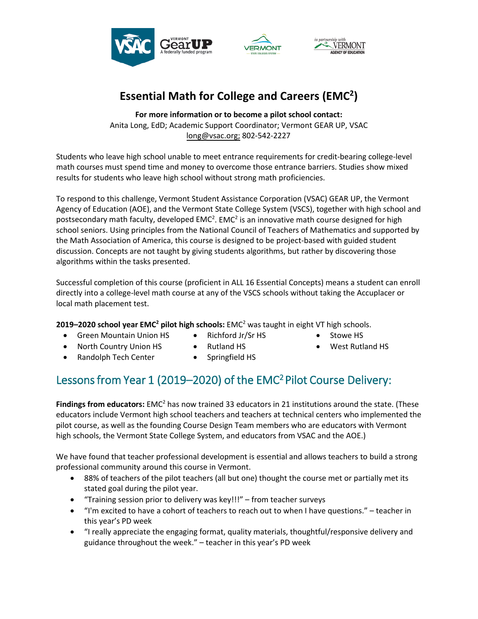

## **Essential Math for College and Careers (EMC<sup>2</sup> )**

**For more information or to become a pilot school contact:** Anita Long, EdD; Academic Support Coordinator; Vermont GEAR UP, VSAC long@vsac.org; 802-542-2227

Students who leave high school unable to meet entrance requirements for credit-bearing college-level math courses must spend time and money to overcome those entrance barriers. Studies show mixed results for students who leave high school without strong math proficiencies.

To respond to this challenge, Vermont Student Assistance Corporation (VSAC) GEAR UP, the Vermont Agency of Education (AOE), and the Vermont State College System (VSCS), together with high school and postsecondary math faculty, developed EMC<sup>2</sup>. EMC<sup>2</sup> is an innovative math course designed for high school seniors. Using principles from the National Council of Teachers of Mathematics and supported by the Math Association of America, this course is designed to be project-based with guided student discussion. Concepts are not taught by giving students algorithms, but rather by discovering those algorithms within the tasks presented.

Successful completion of this course (proficient in ALL 16 Essential Concepts) means a student can enroll directly into a college-level math course at any of the VSCS schools without taking the Accuplacer or local math placement test.

**2019–2020 school year EMC<sup>2</sup> pilot high schools:** EMC <sup>2</sup> was taught in eight VT high schools.

- Green Mountain Union HS
- Richford Jr/Sr HS
- Stowe HS
- North Country Union HS
- Rutland HS
- 
- West Rutland HS
- Randolph Tech Center
	- - Springfield HS

## Lessons from Year 1 (2019–2020) of the EMC<sup>2</sup> Pilot Course Delivery:

**Findings from educators:** EMC<sup>2</sup> has now trained 33 educators in 21 institutions around the state. (These educators include Vermont high school teachers and teachers at technical centers who implemented the pilot course, as well as the founding Course Design Team members who are educators with Vermont high schools, the Vermont State College System, and educators from VSAC and the AOE.)

We have found that teacher professional development is essential and allows teachers to build a strong professional community around this course in Vermont.

- 88% of teachers of the pilot teachers (all but one) thought the course met or partially met its stated goal during the pilot year.
- "Training session prior to delivery was key!!!" from teacher surveys
- "I'm excited to have a cohort of teachers to reach out to when I have questions." teacher in this year's PD week
- "I really appreciate the engaging format, quality materials, thoughtful/responsive delivery and guidance throughout the week." – teacher in this year's PD week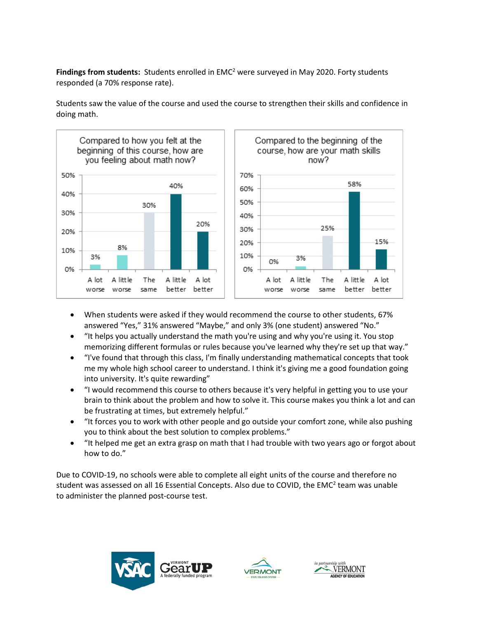**Findings from students:** Students enrolled in EMC<sup>2</sup> were surveyed in May 2020. Forty students responded (a 70% response rate).



Students saw the value of the course and used the course to strengthen their skills and confidence in doing math.

- When students were asked if they would recommend the course to other students, 67% answered "Yes," 31% answered "Maybe," and only 3% (one student) answered "No."
- "It helps you actually understand the math you're using and why you're using it. You stop memorizing different formulas or rules because you've learned why they're set up that way."
- "I've found that through this class, I'm finally understanding mathematical concepts that took me my whole high school career to understand. I think it's giving me a good foundation going into university. It's quite rewarding"
- "I would recommend this course to others because it's very helpful in getting you to use your brain to think about the problem and how to solve it. This course makes you think a lot and can be frustrating at times, but extremely helpful."
- "It forces you to work with other people and go outside your comfort zone, while also pushing you to think about the best solution to complex problems."
- "It helped me get an extra grasp on math that I had trouble with two years ago or forgot about how to do."

Due to COVID-19, no schools were able to complete all eight units of the course and therefore no student was assessed on all 16 Essential Concepts. Also due to COVID, the EMC<sup>2</sup> team was unable to administer the planned post-course test.